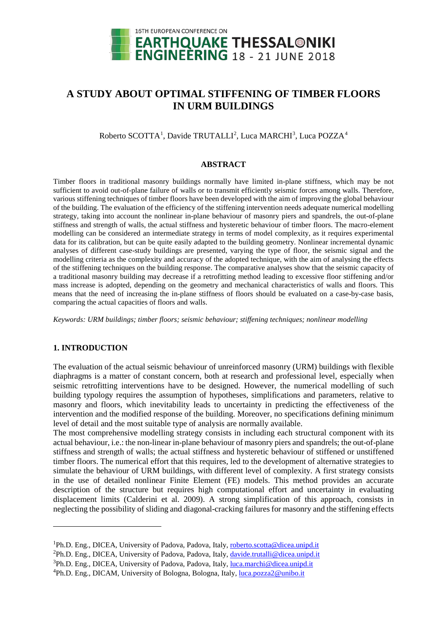

# **A STUDY ABOUT OPTIMAL STIFFENING OF TIMBER FLOORS IN URM BUILDINGS**

Roberto SCOTTA<sup>[1](#page-0-0)</sup>, Davide TRUTALLI<sup>[2](#page-0-1)</sup>, Luca MARCHI<sup>[3](#page-0-2)</sup>, Luca POZZA<sup>[4](#page-0-3)</sup>

#### **ABSTRACT**

Timber floors in traditional masonry buildings normally have limited in-plane stiffness, which may be not sufficient to avoid out-of-plane failure of walls or to transmit efficiently seismic forces among walls. Therefore, various stiffening techniques of timber floors have been developed with the aim of improving the global behaviour of the building. The evaluation of the efficiency of the stiffening intervention needs adequate numerical modelling strategy, taking into account the nonlinear in-plane behaviour of masonry piers and spandrels, the out-of-plane stiffness and strength of walls, the actual stiffness and hysteretic behaviour of timber floors. The macro-element modelling can be considered an intermediate strategy in terms of model complexity, as it requires experimental data for its calibration, but can be quite easily adapted to the building geometry. Nonlinear incremental dynamic analyses of different case-study buildings are presented, varying the type of floor, the seismic signal and the modelling criteria as the complexity and accuracy of the adopted technique, with the aim of analysing the effects of the stiffening techniques on the building response. The comparative analyses show that the seismic capacity of a traditional masonry building may decrease if a retrofitting method leading to excessive floor stiffening and/or mass increase is adopted, depending on the geometry and mechanical characteristics of walls and floors. This means that the need of increasing the in-plane stiffness of floors should be evaluated on a case-by-case basis, comparing the actual capacities of floors and walls.

*Keywords: URM buildings; timber floors; seismic behaviour; stiffening techniques; nonlinear modelling*

# **1. INTRODUCTION**

<u>.</u>

The evaluation of the actual seismic behaviour of unreinforced masonry (URM) buildings with flexible diaphragms is a matter of constant concern, both at research and professional level, especially when seismic retrofitting interventions have to be designed. However, the numerical modelling of such building typology requires the assumption of hypotheses, simplifications and parameters, relative to masonry and floors, which inevitability leads to uncertainty in predicting the effectiveness of the intervention and the modified response of the building. Moreover, no specifications defining minimum level of detail and the most suitable type of analysis are normally available.

The most comprehensive modelling strategy consists in including each structural component with its actual behaviour, i.e.: the non-linear in-plane behaviour of masonry piers and spandrels; the out-of-plane stiffness and strength of walls; the actual stiffness and hysteretic behaviour of stiffened or unstiffened timber floors. The numerical effort that this requires, led to the development of alternative strategies to simulate the behaviour of URM buildings, with different level of complexity. A first strategy consists in the use of detailed nonlinear Finite Element (FE) models. This method provides an accurate description of the structure but requires high computational effort and uncertainty in evaluating displacement limits (Calderini et al. 2009). A strong simplification of this approach, consists in neglecting the possibility of sliding and diagonal-cracking failures for masonry and the stiffening effects

<span id="page-0-0"></span><sup>&</sup>lt;sup>1</sup>Ph.D. Eng., DICEA, University of Padova, Padova, Italy[, roberto.scotta@dicea.unipd.it](mailto:roberto.scotta@dicea.unipd.it)

<span id="page-0-1"></span><sup>&</sup>lt;sup>2</sup>Ph.D. Eng., DICEA, University of Padova, Padova, Italy[, davide.trutalli@dicea.unipd.it](mailto:davide.trutalli@dicea.unipd.it)

<span id="page-0-2"></span><sup>&</sup>lt;sup>3</sup>Ph.D. Eng., DICEA, University of Padova, Padova, Italy[, luca.marchi@d](about:blank)icea.unipd.it

<span id="page-0-3"></span><sup>&</sup>lt;sup>4</sup>Ph.D. Eng., DICAM, University of Bologna, Bologna, Italy, [luca.pozza2@u](about:blank)nibo.it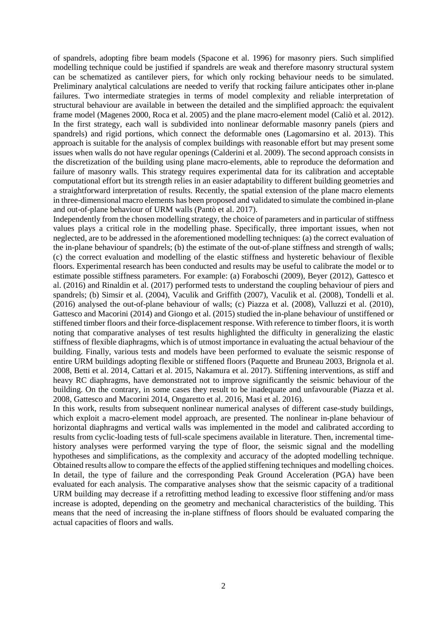of spandrels, adopting fibre beam models (Spacone et al. 1996) for masonry piers. Such simplified modelling technique could be justified if spandrels are weak and therefore masonry structural system can be schematized as cantilever piers, for which only rocking behaviour needs to be simulated. Preliminary analytical calculations are needed to verify that rocking failure anticipates other in-plane failures. Two intermediate strategies in terms of model complexity and reliable interpretation of structural behaviour are available in between the detailed and the simplified approach: the equivalent frame model (Magenes 2000, Roca et al. 2005) and the plane macro-element model (Caliò et al. 2012). In the first strategy, each wall is subdivided into nonlinear deformable masonry panels (piers and spandrels) and rigid portions, which connect the deformable ones (Lagomarsino et al. 2013). This approach is suitable for the analysis of complex buildings with reasonable effort but may present some issues when walls do not have regular openings (Calderini et al. 2009). The second approach consists in the discretization of the building using plane macro-elements, able to reproduce the deformation and failure of masonry walls. This strategy requires experimental data for its calibration and acceptable computational effort but its strength relies in an easier adaptability to different building geometries and a straightforward interpretation of results. Recently, the spatial extension of the plane macro elements in three-dimensional macro elements has been proposed and validated to simulate the combined in-plane and out-of-plane behaviour of URM walls (Pantò et al. 2017).

Independently from the chosen modelling strategy, the choice of parameters and in particular of stiffness values plays a critical role in the modelling phase. Specifically, three important issues, when not neglected, are to be addressed in the aforementioned modelling techniques: (a) the correct evaluation of the in-plane behaviour of spandrels; (b) the estimate of the out-of-plane stiffness and strength of walls; (c) the correct evaluation and modelling of the elastic stiffness and hysteretic behaviour of flexible floors. Experimental research has been conducted and results may be useful to calibrate the model or to estimate possible stiffness parameters. For example: (a) Foraboschi (2009), Beyer (2012), Gattesco et al. (2016) and Rinaldin et al. (2017) performed tests to understand the coupling behaviour of piers and spandrels; (b) Simsir et al. (2004), Vaculik and Griffith (2007), Vaculik et al. (2008), Tondelli et al. (2016) analysed the out-of-plane behaviour of walls; (c) Piazza et al. (2008), Valluzzi et al. (2010), Gattesco and Macorini (2014) and Giongo et al. (2015) studied the in-plane behaviour of unstiffened or stiffened timber floors and their force-displacement response. With reference to timber floors, it is worth noting that comparative analyses of test results highlighted the difficulty in generalizing the elastic stiffness of flexible diaphragms, which is of utmost importance in evaluating the actual behaviour of the building. Finally, various tests and models have been performed to evaluate the seismic response of entire URM buildings adopting flexible or stiffened floors (Paquette and Bruneau 2003, Brignola et al. 2008, Betti et al. 2014, Cattari et al. 2015, Nakamura et al. 2017). Stiffening interventions, as stiff and heavy RC diaphragms, have demonstrated not to improve significantly the seismic behaviour of the building. On the contrary, in some cases they result to be inadequate and unfavourable (Piazza et al. 2008, Gattesco and Macorini 2014, Ongaretto et al. 2016, Masi et al. 2016).

In this work, results from subsequent nonlinear numerical analyses of different case-study buildings, which exploit a macro-element model approach, are presented. The nonlinear in-plane behaviour of horizontal diaphragms and vertical walls was implemented in the model and calibrated according to results from cyclic-loading tests of full-scale specimens available in literature. Then, incremental timehistory analyses were performed varying the type of floor, the seismic signal and the modelling hypotheses and simplifications, as the complexity and accuracy of the adopted modelling technique. Obtained results allow to compare the effects of the applied stiffening techniques and modelling choices. In detail, the type of failure and the corresponding Peak Ground Acceleration (PGA) have been evaluated for each analysis. The comparative analyses show that the seismic capacity of a traditional URM building may decrease if a retrofitting method leading to excessive floor stiffening and/or mass increase is adopted, depending on the geometry and mechanical characteristics of the building. This means that the need of increasing the in-plane stiffness of floors should be evaluated comparing the actual capacities of floors and walls.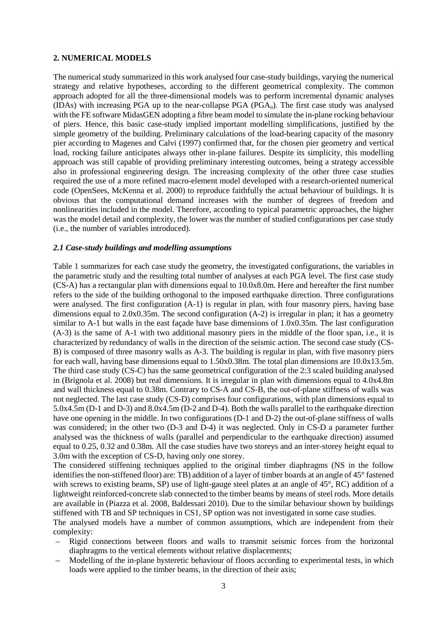# **2. NUMERICAL MODELS**

The numerical study summarized in this work analysed four case-study buildings, varying the numerical strategy and relative hypotheses, according to the different geometrical complexity. The common approach adopted for all the three-dimensional models was to perform incremental dynamic analyses (IDAs) with increasing PGA up to the near-collapse PGA (PGAu). The first case study was analysed with the FE software MidasGEN adopting a fibre beam model to simulate the in-plane rocking behaviour of piers. Hence, this basic case-study implied important modelling simplifications, justified by the simple geometry of the building. Preliminary calculations of the load-bearing capacity of the masonry pier according to Magenes and Calvi (1997) confirmed that, for the chosen pier geometry and vertical load, rocking failure anticipates always other in-plane failures. Despite its simplicity, this modelling approach was still capable of providing preliminary interesting outcomes, being a strategy accessible also in professional engineering design. The increasing complexity of the other three case studies required the use of a more refined macro-element model developed with a research-oriented numerical code (OpenSees, McKenna et al. 2000) to reproduce faithfully the actual behaviour of buildings. It is obvious that the computational demand increases with the number of degrees of freedom and nonlinearities included in the model. Therefore, according to typical parametric approaches, the higher was the model detail and complexity, the lower was the number of studied configurations per case study (i.e., the number of variables introduced).

## *2.1 Case-study buildings and modelling assumptions*

Table 1 summarizes for each case study the geometry, the investigated configurations, the variables in the parametric study and the resulting total number of analyses at each PGA level. The first case study (CS-A) has a rectangular plan with dimensions equal to 10.0x8.0m. Here and hereafter the first number refers to the side of the building orthogonal to the imposed earthquake direction. Three configurations were analysed. The first configuration (A-1) is regular in plan, with four masonry piers, having base dimensions equal to  $2.0x0.35m$ . The second configuration  $(A-2)$  is irregular in plan; it has a geometry similar to A-1 but walls in the east façade have base dimensions of 1.0x0.35m. The last configuration (A-3) is the same of A-1 with two additional masonry piers in the middle of the floor span, i.e., it is characterized by redundancy of walls in the direction of the seismic action. The second case study (CS-B) is composed of three masonry walls as A-3. The building is regular in plan, with five masonry piers for each wall, having base dimensions equal to 1.50x0.38m. The total plan dimensions are 10.0x13.5m. The third case study (CS-C) has the same geometrical configuration of the 2:3 scaled building analysed in (Brignola et al. 2008) but real dimensions. It is irregular in plan with dimensions equal to 4.0x4.8m and wall thickness equal to 0.38m. Contrary to CS-A and CS-B, the out-of-plane stiffness of walls was not neglected. The last case study (CS-D) comprises four configurations, with plan dimensions equal to 5.0x4.5m (D-1 and D-3) and 8.0x4.5m (D-2 and D-4). Both the walls parallel to the earthquake direction have one opening in the middle. In two configurations (D-1 and D-2) the out-of-plane stiffness of walls was considered; in the other two (D-3 and D-4) it was neglected. Only in CS-D a parameter further analysed was the thickness of walls (parallel and perpendicular to the earthquake direction) assumed equal to 0.25, 0.32 and 0.38m. All the case studies have two storeys and an inter-storey height equal to 3.0m with the exception of CS-D, having only one storey.

The considered stiffening techniques applied to the original timber diaphragms (NS in the follow identifies the non-stiffened floor) are: TB) addition of a layer of timber boards at an angle of 45° fastened with screws to existing beams, SP) use of light-gauge steel plates at an angle of 45°, RC) addition of a lightweight reinforced-concrete slab connected to the timber beams by means of steel rods. More details are available in (Piazza et al. 2008, Baldessari 2010). Due to the similar behaviour shown by buildings stiffened with TB and SP techniques in CS1, SP option was not investigated in some case studies.

The analysed models have a number of common assumptions, which are independent from their complexity:

- Rigid connections between floors and walls to transmit seismic forces from the horizontal diaphragms to the vertical elements without relative displacements;
- Modelling of the in-plane hysteretic behaviour of floors according to experimental tests, in which loads were applied to the timber beams, in the direction of their axis;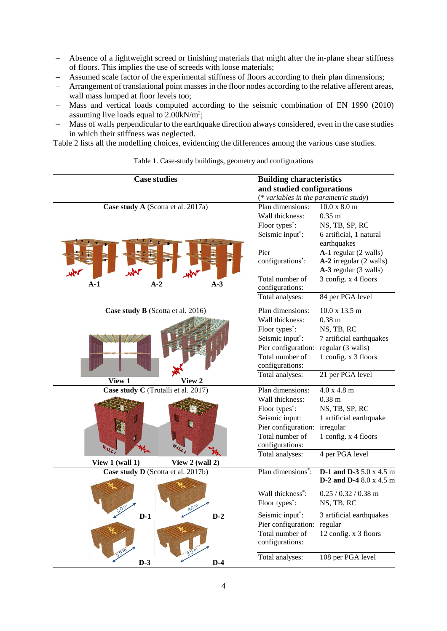- Absence of a lightweight screed or finishing materials that might alter the in-plane shear stiffness of floors. This implies the use of screeds with loose materials;
- Assumed scale factor of the experimental stiffness of floors according to their plan dimensions;
- Arrangement of translational point masses in the floor nodes according to the relative afferent areas, wall mass lumped at floor levels too;
- Mass and vertical loads computed according to the seismic combination of EN 1990 (2010) assuming live loads equal to 2.00kN/m<sup>2</sup>;
- Mass of walls perpendicular to the earthquake direction always considered, even in the case studies in which their stiffness was neglected.

Table 2 lists all the modelling choices, evidencing the differences among the various case studies.

| <b>Case studies</b>                 | <b>Building characteristics</b>                                  |
|-------------------------------------|------------------------------------------------------------------|
|                                     | and studied configurations                                       |
|                                     | (* variables in the parametric study)                            |
| Case study A (Scotta et al. 2017a)  | Plan dimensions:<br>10.0 x 8.0 m                                 |
|                                     | Wall thickness:<br>$0.35$ m                                      |
|                                     | Floor types <sup>*</sup> :<br>NS, TB, SP, RC                     |
|                                     | Seismic input*:<br>6 artificial, 1 natural                       |
|                                     | earthquakes                                                      |
|                                     | Pier<br>A-1 regular (2 walls)                                    |
|                                     | configurations <sup>*</sup> :<br>A-2 irregular (2 walls)         |
| m<br>m                              | A-3 regular (3 walls)<br>Total number of                         |
| $A-1$<br>$A-2$<br>$A-3$             | 3 config. x 4 floors<br>configurations:                          |
|                                     | Total analyses:<br>84 per PGA level                              |
|                                     |                                                                  |
| Case study B (Scotta et al. 2016)   | Plan dimensions:<br>10.0 x 13.5 m                                |
|                                     | $0.38$ m<br>Wall thickness:                                      |
|                                     | Floor types <sup>*</sup> :<br>NS, TB, RC                         |
|                                     | Seismic input*:<br>7 artificial earthquakes                      |
|                                     | Pier configuration:<br>regular (3 walls)                         |
|                                     | Total number of<br>1 config. x 3 floors                          |
|                                     | configurations:                                                  |
| View 1<br>View 2                    | 21 per PGA level<br>Total analyses:                              |
| Case study C (Trutalli et al. 2017) | Plan dimensions:<br>4.0 x 4.8 m                                  |
|                                     | Wall thickness:<br>0.38 <sub>m</sub>                             |
|                                     | Floor types <sup>*</sup> :<br>NS, TB, SP, RC                     |
|                                     | Seismic input:<br>1 artificial earthquake                        |
|                                     | Pier configuration:<br>irregular                                 |
|                                     | Total number of<br>1 config. x 4 floors                          |
|                                     | configurations:                                                  |
|                                     | 4 per PGA level<br>Total analyses:                               |
| View 1 (wall 1)<br>View 2 (wall 2)  | Plan dimensions <sup>*</sup> :<br><b>D-1 and D-3</b> 5.0 x 4.5 m |
| Case study D (Scotta et al. 2017b)  | <b>D-2 and D-4</b> 8.0 x 4.5 m                                   |
|                                     | Wall thickness <sup>*</sup> :<br>$0.25 / 0.32 / 0.38$ m          |
| 8.0 m                               | Floor types <sup>*</sup> :<br>NS, TB, RC                         |
| $D-2$<br>$D-1$                      | Seismic input*:<br>3 artificial earthquakes                      |
|                                     | Pier configuration:<br>regular                                   |
|                                     | Total number of<br>12 config. x 3 floors                         |
|                                     | configurations:                                                  |
|                                     |                                                                  |
| $D-3$<br>$D-4$                      | Total analyses:<br>108 per PGA level                             |

Table 1. Case-study buildings, geometry and configurations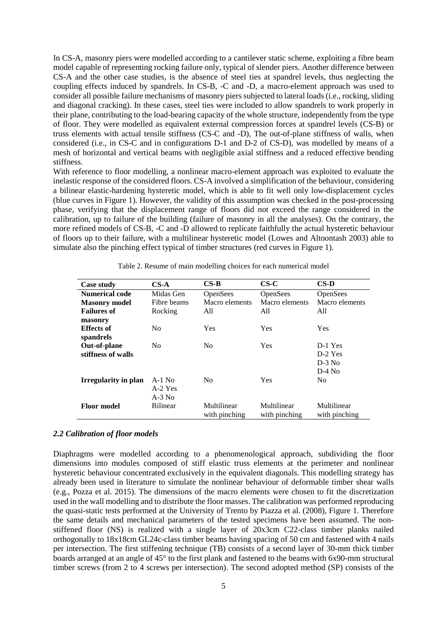In CS-A, masonry piers were modelled according to a cantilever static scheme, exploiting a fibre beam model capable of representing rocking failure only, typical of slender piers. Another difference between CS-A and the other case studies, is the absence of steel ties at spandrel levels, thus neglecting the coupling effects induced by spandrels. In CS-B, -C and -D, a macro-element approach was used to consider all possible failure mechanisms of masonry piers subjected to lateral loads (i.e., rocking, sliding and diagonal cracking). In these cases, steel ties were included to allow spandrels to work properly in their plane, contributing to the load-bearing capacity of the whole structure, independently from the type of floor. They were modelled as equivalent external compression forces at spandrel levels (CS-B) or truss elements with actual tensile stiffness (CS-C and -D), The out-of-plane stiffness of walls, when considered (i.e., in CS-C and in configurations D-1 and D-2 of CS-D), was modelled by means of a mesh of horizontal and vertical beams with negligible axial stiffness and a reduced effective bending stiffness.

With reference to floor modelling, a nonlinear macro-element approach was exploited to evaluate the inelastic response of the considered floors. CS-A involved a simplification of the behaviour, considering a bilinear elastic-hardening hysteretic model, which is able to fit well only low-displacement cycles (blue curves in Figure 1). However, the validity of this assumption was checked in the post-processing phase, verifying that the displacement range of floors did not exceed the range considered in the calibration, up to failure of the building (failure of masonry in all the analyses). On the contrary, the more refined models of CS-B, -C and -D allowed to replicate faithfully the actual hysteretic behaviour of floors up to their failure, with a multilinear hysteretic model (Lowes and Altoontash 2003) able to simulate also the pinching effect typical of timber structures (red curves in Figure 1).

| Case study            | $CS-A$          | $CS-B$         | $C S-C$         | $\mathbf{CS}\text{-}\mathbf{D}$ |
|-----------------------|-----------------|----------------|-----------------|---------------------------------|
| <b>Numerical code</b> | Midas Gen       | OpenSees       | <b>OpenSees</b> | OpenSees                        |
| <b>Masonry</b> model  | Fibre beams     | Macro elements | Macro elements  | Macro elements                  |
| <b>Failures of</b>    | Rocking         | All            | All             | All                             |
| masonry               |                 |                |                 |                                 |
| <b>Effects of</b>     | N <sub>0</sub>  | Yes            | <b>Yes</b>      | Yes                             |
| spandrels             |                 |                |                 |                                 |
| Out-of-plane          | N <sub>0</sub>  | N <sub>0</sub> | Yes             | D-1 Yes                         |
| stiffness of walls    |                 |                |                 | D-2 Yes                         |
|                       |                 |                |                 | $D-3$ No                        |
|                       |                 |                |                 | $D-4$ No                        |
| Irregularity in plan  | $A-1$ No        | N <sub>0</sub> | Yes             | No.                             |
|                       | A-2 Yes         |                |                 |                                 |
|                       | $A-3$ No        |                |                 |                                 |
| <b>Floor model</b>    | <b>Bilinear</b> | Multilinear    | Multilinear     | Multilinear                     |
|                       |                 | with pinching  | with pinching   | with pinching                   |

Table 2. Resume of main modelling choices for each numerical model

## *2.2 Calibration of floor models*

Diaphragms were modelled according to a phenomenological approach, subdividing the floor dimensions into modules composed of stiff elastic truss elements at the perimeter and nonlinear hysteretic behaviour concentrated exclusively in the equivalent diagonals. This modelling strategy has already been used in literature to simulate the nonlinear behaviour of deformable timber shear walls (e.g., Pozza et al. 2015). The dimensions of the macro elements were chosen to fit the discretization used in the wall modelling and to distribute the floor masses. The calibration was performed reproducing the quasi-static tests performed at the University of Trento by Piazza et al. (2008), Figure 1. Therefore the same details and mechanical parameters of the tested specimens have been assumed. The nonstiffened floor (NS) is realized with a single layer of 20x3cm C22-class timber planks nailed orthogonally to 18x18cm GL24c-class timber beams having spacing of 50 cm and fastened with 4 nails per intersection. The first stiffening technique (TB) consists of a second layer of 30-mm thick timber boards arranged at an angle of 45° to the first plank and fastened to the beams with 6x90-mm structural timber screws (from 2 to 4 screws per intersection). The second adopted method (SP) consists of the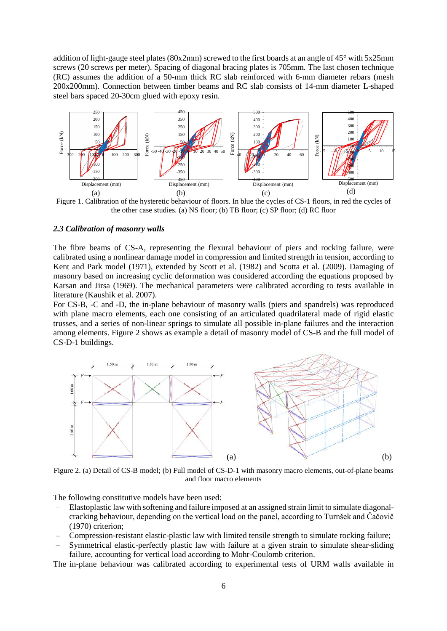addition of light-gauge steel plates (80x2mm) screwed to the first boards at an angle of 45° with 5x25mm screws (20 screws per meter). Spacing of diagonal bracing plates is 705mm. The last chosen technique (RC) assumes the addition of a 50-mm thick RC slab reinforced with 6-mm diameter rebars (mesh 200x200mm). Connection between timber beams and RC slab consists of 14-mm diameter L-shaped steel bars spaced 20-30cm glued with epoxy resin.



Figure 1. Calibration of the hysteretic behaviour of floors. In blue the cycles of CS-1 floors, in red the cycles of the other case studies. (a) NS floor; (b) TB floor; (c) SP floor; (d) RC floor

#### *2.3 Calibration of masonry walls*

The fibre beams of CS-A, representing the flexural behaviour of piers and rocking failure, were calibrated using a nonlinear damage model in compression and limited strength in tension, according to Kent and Park model (1971), extended by Scott et al. (1982) and Scotta et al. (2009). Damaging of masonry based on increasing cyclic deformation was considered according the equations proposed by Karsan and Jirsa (1969). The mechanical parameters were calibrated according to tests available in literature (Kaushik et al. 2007).

For CS-B, -C and -D, the in-plane behaviour of masonry walls (piers and spandrels) was reproduced with plane macro elements, each one consisting of an articulated quadrilateral made of rigid elastic trusses, and a series of non-linear springs to simulate all possible in-plane failures and the interaction among elements. Figure 2 shows as example a detail of masonry model of CS-B and the full model of CS-D-1 buildings.



Figure 2. (a) Detail of CS-B model; (b) Full model of CS-D-1 with masonry macro elements, out-of-plane beams and floor macro elements

The following constitutive models have been used:

- Elastoplastic law with softening and failure imposed at an assigned strain limit to simulate diagonalcracking behaviour, depending on the vertical load on the panel, according to Turnšek and Čačovič (1970) criterion;
- Compression-resistant elastic-plastic law with limited tensile strength to simulate rocking failure;
- Symmetrical elastic-perfectly plastic law with failure at a given strain to simulate shear-sliding failure, accounting for vertical load according to Mohr-Coulomb criterion.

The in-plane behaviour was calibrated according to experimental tests of URM walls available in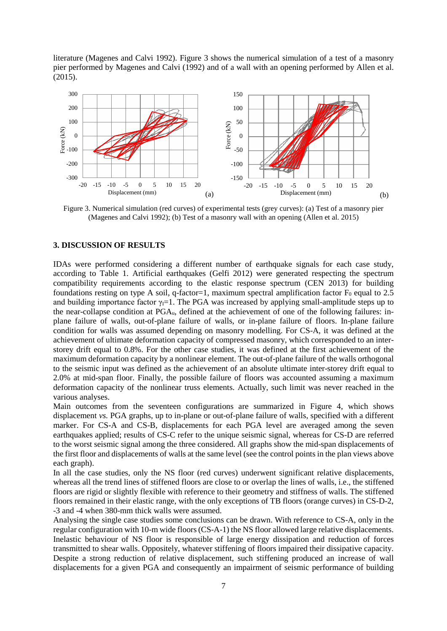literature (Magenes and Calvi 1992). Figure 3 shows the numerical simulation of a test of a masonry pier performed by Magenes and Calvi (1992) and of a wall with an opening performed by Allen et al. (2015).



Figure 3. Numerical simulation (red curves) of experimental tests (grey curves): (a) Test of a masonry pier (Magenes and Calvi 1992); (b) Test of a masonry wall with an opening (Allen et al. 2015)

## **3. DISCUSSION OF RESULTS**

IDAs were performed considering a different number of earthquake signals for each case study, according to Table 1. Artificial earthquakes (Gelfi 2012) were generated respecting the spectrum compatibility requirements according to the elastic response spectrum (CEN 2013) for building foundations resting on type A soil, q-factor=1, maximum spectral amplification factor  $F_0$  equal to 2.5 and building importance factor  $\gamma_1=1$ . The PGA was increased by applying small-amplitude steps up to the near-collapse condition at PGAu, defined at the achievement of one of the following failures: inplane failure of walls, out-of-plane failure of walls, or in-plane failure of floors. In-plane failure condition for walls was assumed depending on masonry modelling. For CS-A, it was defined at the achievement of ultimate deformation capacity of compressed masonry, which corresponded to an interstorey drift equal to 0.8%. For the other case studies, it was defined at the first achievement of the maximum deformation capacity by a nonlinear element. The out-of-plane failure of the walls orthogonal to the seismic input was defined as the achievement of an absolute ultimate inter-storey drift equal to 2.0% at mid-span floor. Finally, the possible failure of floors was accounted assuming a maximum deformation capacity of the nonlinear truss elements. Actually, such limit was never reached in the various analyses.

Main outcomes from the seventeen configurations are summarized in Figure 4, which shows displacement *vs.* PGA graphs, up to in-plane or out-of-plane failure of walls, specified with a different marker. For CS-A and CS-B, displacements for each PGA level are averaged among the seven earthquakes applied; results of CS-C refer to the unique seismic signal, whereas for CS-D are referred to the worst seismic signal among the three considered. All graphs show the mid-span displacements of the first floor and displacements of walls at the same level (see the control points in the plan views above each graph).

In all the case studies, only the NS floor (red curves) underwent significant relative displacements, whereas all the trend lines of stiffened floors are close to or overlap the lines of walls, i.e., the stiffened floors are rigid or slightly flexible with reference to their geometry and stiffness of walls. The stiffened floors remained in their elastic range, with the only exceptions of TB floors (orange curves) in CS-D-2, -3 and -4 when 380-mm thick walls were assumed.

Analysing the single case studies some conclusions can be drawn. With reference to CS-A, only in the regular configuration with 10-m wide floors (CS-A-1) the NS floor allowed large relative displacements. Inelastic behaviour of NS floor is responsible of large energy dissipation and reduction of forces transmitted to shear walls. Oppositely, whatever stiffening of floors impaired their dissipative capacity. Despite a strong reduction of relative displacement, such stiffening produced an increase of wall displacements for a given PGA and consequently an impairment of seismic performance of building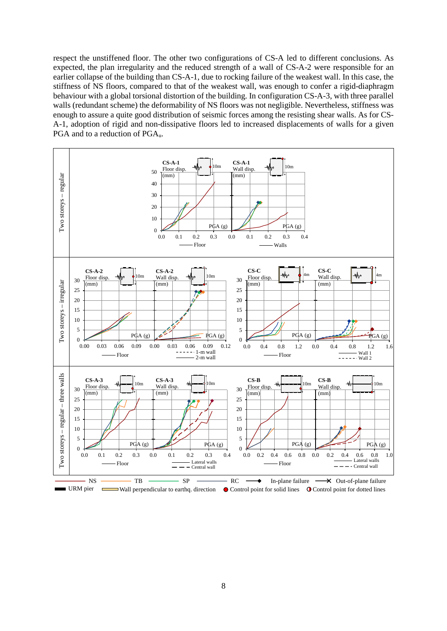respect the unstiffened floor. The other two configurations of CS-A led to different conclusions. As expected, the plan irregularity and the reduced strength of a wall of CS-A-2 were responsible for an earlier collapse of the building than CS-A-1, due to rocking failure of the weakest wall. In this case, the stiffness of NS floors, compared to that of the weakest wall, was enough to confer a rigid-diaphragm behaviour with a global torsional distortion of the building. In configuration CS-A-3, with three parallel walls (redundant scheme) the deformability of NS floors was not negligible. Nevertheless, stiffness was enough to assure a quite good distribution of seismic forces among the resisting shear walls. As for CS-A-1, adoption of rigid and non-dissipative floors led to increased displacements of walls for a given PGA and to a reduction of PGAu.

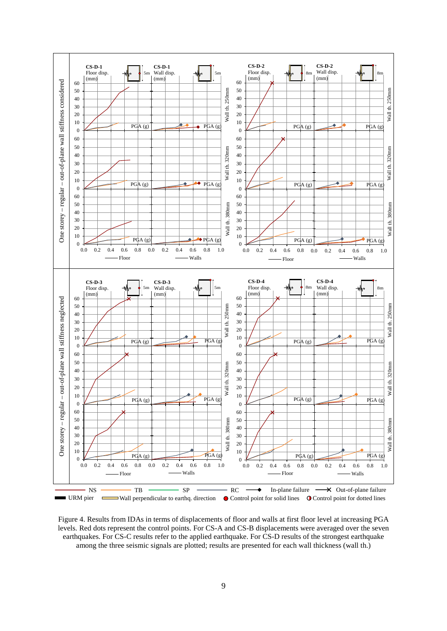

Figure 4. Results from IDAs in terms of displacements of floor and walls at first floor level at increasing PGA levels. Red dots represent the control points. For CS-A and CS-B displacements were averaged over the seven earthquakes. For CS-C results refer to the applied earthquake. For CS-D results of the strongest earthquake among the three seismic signals are plotted; results are presented for each wall thickness (wall th.)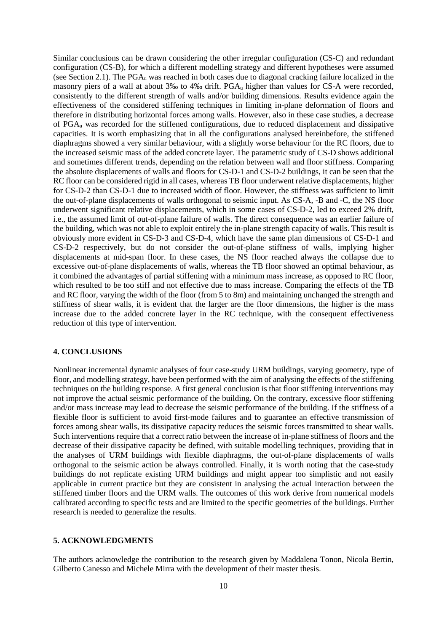Similar conclusions can be drawn considering the other irregular configuration (CS-C) and redundant configuration (CS-B), for which a different modelling strategy and different hypotheses were assumed (see Section 2.1). The  $PGA_u$  was reached in both cases due to diagonal cracking failure localized in the masonry piers of a wall at about 3‰ to 4‰ drift. PGA<sub>u</sub> higher than values for CS-A were recorded, consistently to the different strength of walls and/or building dimensions. Results evidence again the effectiveness of the considered stiffening techniques in limiting in-plane deformation of floors and therefore in distributing horizontal forces among walls. However, also in these case studies, a decrease of PGAu was recorded for the stiffened configurations, due to reduced displacement and dissipative capacities. It is worth emphasizing that in all the configurations analysed hereinbefore, the stiffened diaphragms showed a very similar behaviour, with a slightly worse behaviour for the RC floors, due to the increased seismic mass of the added concrete layer. The parametric study of CS-D shows additional and sometimes different trends, depending on the relation between wall and floor stiffness. Comparing the absolute displacements of walls and floors for CS-D-1 and CS-D-2 buildings, it can be seen that the RC floor can be considered rigid in all cases, whereas TB floor underwent relative displacements, higher for CS-D-2 than CS-D-1 due to increased width of floor. However, the stiffness was sufficient to limit the out-of-plane displacements of walls orthogonal to seismic input. As CS-A, -B and -C, the NS floor underwent significant relative displacements, which in some cases of CS-D-2, led to exceed 2% drift, i.e., the assumed limit of out-of-plane failure of walls. The direct consequence was an earlier failure of the building, which was not able to exploit entirely the in-plane strength capacity of walls. This result is obviously more evident in CS-D-3 and CS-D-4, which have the same plan dimensions of CS-D-1 and CS-D-2 respectively, but do not consider the out-of-plane stiffness of walls, implying higher displacements at mid-span floor. In these cases, the NS floor reached always the collapse due to excessive out-of-plane displacements of walls, whereas the TB floor showed an optimal behaviour, as it combined the advantages of partial stiffening with a minimum mass increase, as opposed to RC floor, which resulted to be too stiff and not effective due to mass increase. Comparing the effects of the TB and RC floor, varying the width of the floor (from 5 to 8m) and maintaining unchanged the strength and stiffness of shear walls, it is evident that the larger are the floor dimensions, the higher is the mass increase due to the added concrete layer in the RC technique, with the consequent effectiveness reduction of this type of intervention.

# **4. CONCLUSIONS**

Nonlinear incremental dynamic analyses of four case-study URM buildings, varying geometry, type of floor, and modelling strategy, have been performed with the aim of analysing the effects of the stiffening techniques on the building response. A first general conclusion is that floor stiffening interventions may not improve the actual seismic performance of the building. On the contrary, excessive floor stiffening and/or mass increase may lead to decrease the seismic performance of the building. If the stiffness of a flexible floor is sufficient to avoid first-mode failures and to guarantee an effective transmission of forces among shear walls, its dissipative capacity reduces the seismic forces transmitted to shear walls. Such interventions require that a correct ratio between the increase of in-plane stiffness of floors and the decrease of their dissipative capacity be defined, with suitable modelling techniques, providing that in the analyses of URM buildings with flexible diaphragms, the out-of-plane displacements of walls orthogonal to the seismic action be always controlled. Finally, it is worth noting that the case-study buildings do not replicate existing URM buildings and might appear too simplistic and not easily applicable in current practice but they are consistent in analysing the actual interaction between the stiffened timber floors and the URM walls. The outcomes of this work derive from numerical models calibrated according to specific tests and are limited to the specific geometries of the buildings. Further research is needed to generalize the results.

## **5. ACKNOWLEDGMENTS**

The authors acknowledge the contribution to the research given by Maddalena Tonon, Nicola Bertin, Gilberto Canesso and Michele Mirra with the development of their master thesis.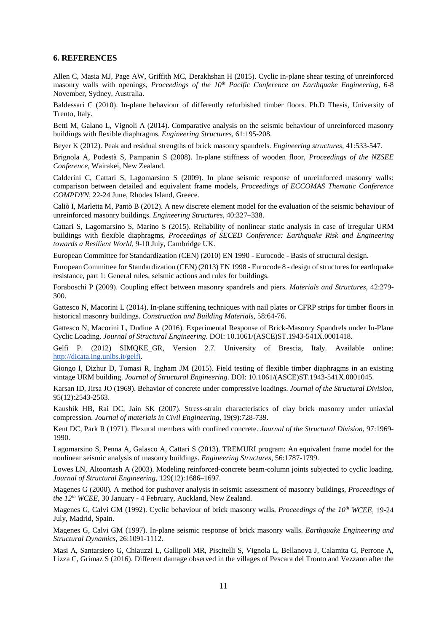#### **6. REFERENCES**

Allen C, Masia MJ, Page AW, Griffith MC, Derakhshan H (2015). Cyclic in-plane shear testing of unreinforced masonry walls with openings, *Proceedings of the 10<sup>th</sup> Pacific Conference on Earthquake Engineering*, 6-8 November, Sydney, Australia.

Baldessari C (2010). In-plane behaviour of differently refurbished timber floors. Ph.D Thesis, University of Trento, Italy.

Betti M, Galano L, Vignoli A (2014). Comparative analysis on the seismic behaviour of unreinforced masonry buildings with flexible diaphragms. *Engineering Structures*, 61:195-208.

Beyer K (2012). Peak and residual strengths of brick masonry spandrels. *Engineering structures*, 41:533-547.

Brignola A, Podestà S, Pampanin S (2008). In-plane stiffness of wooden floor, *Proceedings of the NZSEE Conference*, Wairakei, New Zealand.

Calderini C, Cattari S, Lagomarsino S (2009). In plane seismic response of unreinforced masonry walls: comparison between detailed and equivalent frame models, *Proceedings of ECCOMAS Thematic Conference COMPDYN*, 22-24 June, Rhodes Island, Greece.

Caliò I, Marletta M, Pantò B (2012). A new discrete element model for the evaluation of the seismic behaviour of unreinforced masonry buildings. *Engineering Structures*, 40:327–338.

Cattari S, Lagomarsino S, Marino S (2015). Reliability of nonlinear static analysis in case of irregular URM buildings with flexible diaphragms, *Proceedings of SECED Conference: Earthquake Risk and Engineering towards a Resilient World*, 9-10 July, Cambridge UK.

European Committee for Standardization (CEN) (2010) EN 1990 - Eurocode - Basis of structural design.

European Committee for Standardization (CEN) (2013) EN 1998 - Eurocode 8 - design of structures for earthquake resistance, part 1: General rules, seismic actions and rules for buildings.

Foraboschi P (2009). Coupling effect between masonry spandrels and piers. *Materials and Structures*, 42:279- 300.

Gattesco N, Macorini L (2014). In-plane stiffening techniques with nail plates or CFRP strips for timber floors in historical masonry buildings. *Construction and Building Materials*, 58:64-76.

Gattesco N, Macorini L, Dudine A (2016). Experimental Response of Brick-Masonry Spandrels under In-Plane Cyclic Loading. *Journal of Structural Engineering*. DOI: 10.1061/(ASCE)ST.1943-541X.0001418.

Gelfi P. (2012) SIMQKE\_GR, Version 2.7. University of Brescia, Italy. Available online[:](http://dicata.ing.unibs.it/gelfi) [http://dicata.ing.unibs.it/gelfi.](http://dicata.ing.unibs.it/gelfi)

Giongo I, Dizhur D, Tomasi R, Ingham JM (2015). Field testing of flexible timber diaphragms in an existing vintage URM building. *Journal of Structural Engineering*. DOI: 10.1061/(ASCE)ST.1943-541X.0001045.

Karsan ID, Jirsa JO (1969). Behavior of concrete under compressive loadings. *Journal of the Structural Division*, 95(12):2543-2563.

Kaushik HB, Rai DC, Jain SK (2007). Stress-strain characteristics of clay brick masonry under uniaxial compression. *Journal of materials in Civil Engineering*, 19(9):728-739.

Kent DC, Park R (1971). Flexural members with confined concrete. *Journal of the Structural Division*, 97:1969- 1990.

Lagomarsino S, Penna A, Galasco A, Cattari S (2013). TREMURI program: An equivalent frame model for the nonlinear seismic analysis of masonry buildings. *Engineering Structures*, 56:1787-1799.

Lowes LN, Altoontash A (2003). Modeling reinforced-concrete beam-column joints subjected to cyclic loading. *Journal of Structural Engineering*, 129(12):1686–1697.

Magenes G (2000). A method for pushover analysis in seismic assessment of masonry buildings, *Proceedings of the 12th WCEE*, 30 January - 4 February, Auckland, New Zealand.

Magenes G, Calvi GM (1992). Cyclic behaviour of brick masonry walls, *Proceedings of the 10<sup>th</sup> WCEE*, 19-24 July, Madrid, Spain.

Magenes G, Calvi GM (1997). In-plane seismic response of brick masonry walls. *Earthquake Engineering and Structural Dynamics*, 26:1091-1112.

Masi A, Santarsiero G, Chiauzzi L, Gallipoli MR, Piscitelli S, Vignola L, Bellanova J, Calamita G, Perrone A, Lizza C, Grimaz S (2016). Different damage observed in the villages of Pescara del Tronto and Vezzano after the